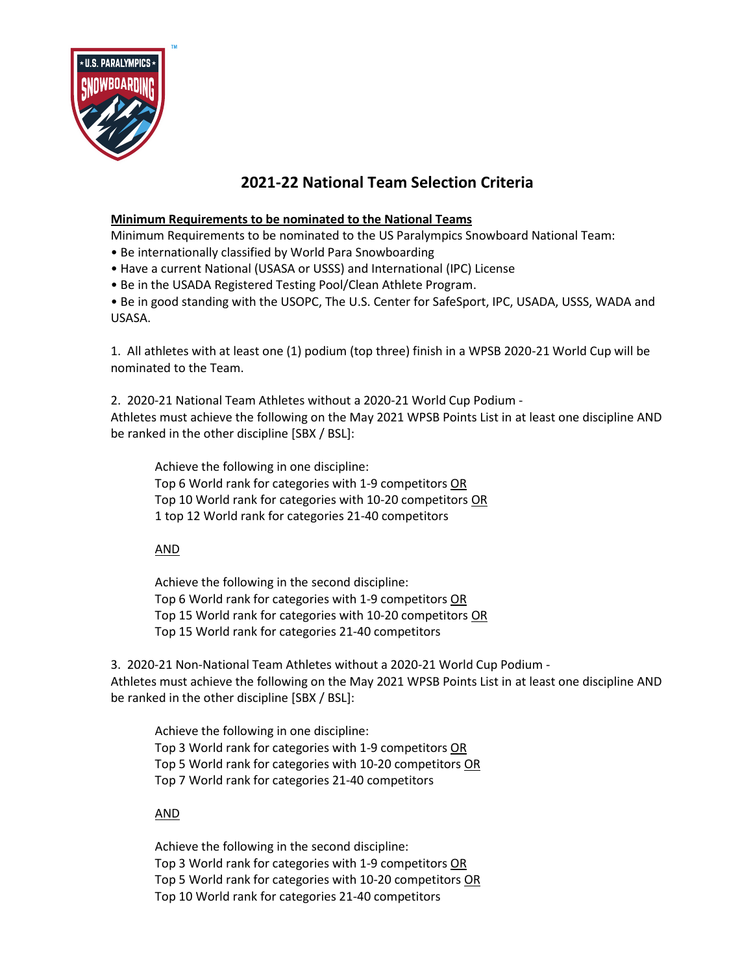

## **2021-22 National Team Selection Criteria**

## **Minimum Requirements to be nominated to the National Teams**

Minimum Requirements to be nominated to the US Paralympics Snowboard National Team:

- Be internationally classified by World Para Snowboarding
- Have a current National (USASA or USSS) and International (IPC) License
- Be in the USADA Registered Testing Pool/Clean Athlete Program.

• Be in good standing with the USOPC, The U.S. Center for SafeSport, IPC, USADA, USSS, WADA and USASA.

1. All athletes with at least one (1) podium (top three) finish in a WPSB 2020-21 World Cup will be nominated to the Team.

2. 2020-21 National Team Athletes without a 2020-21 World Cup Podium - Athletes must achieve the following on the May 2021 WPSB Points List in at least one discipline AND be ranked in the other discipline [SBX / BSL]:

Achieve the following in one discipline: Top 6 World rank for categories with 1-9 competitors OR Top 10 World rank for categories with 10-20 competitors OR 1 top 12 World rank for categories 21-40 competitors

AND

Achieve the following in the second discipline: Top 6 World rank for categories with 1-9 competitors OR Top 15 World rank for categories with 10-20 competitors OR Top 15 World rank for categories 21-40 competitors

3. 2020-21 Non-National Team Athletes without a 2020-21 World Cup Podium - Athletes must achieve the following on the May 2021 WPSB Points List in at least one discipline AND be ranked in the other discipline [SBX / BSL]:

Achieve the following in one discipline: Top 3 World rank for categories with 1-9 competitors OR Top 5 World rank for categories with 10-20 competitors OR Top 7 World rank for categories 21-40 competitors

AND

Achieve the following in the second discipline: Top 3 World rank for categories with 1-9 competitors OR Top 5 World rank for categories with 10-20 competitors OR Top 10 World rank for categories 21-40 competitors